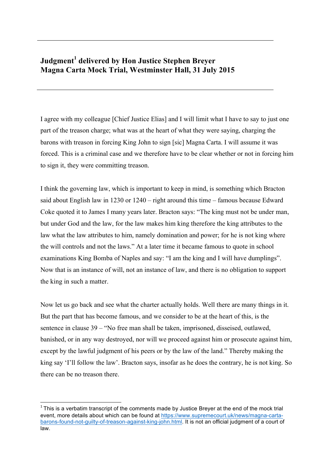## **Judgment<sup>1</sup> delivered by Hon Justice Stephen Breyer Magna Carta Mock Trial, Westminster Hall, 31 July 2015**

I agree with my colleague [Chief Justice Elias] and I will limit what I have to say to just one part of the treason charge; what was at the heart of what they were saying, charging the barons with treason in forcing King John to sign [sic] Magna Carta. I will assume it was forced. This is a criminal case and we therefore have to be clear whether or not in forcing him to sign it, they were committing treason.

I think the governing law, which is important to keep in mind, is something which Bracton said about English law in 1230 or 1240 – right around this time – famous because Edward Coke quoted it to James I many years later. Bracton says: "The king must not be under man, but under God and the law, for the law makes him king therefore the king attributes to the law what the law attributes to him, namely domination and power; for he is not king where the will controls and not the laws." At a later time it became famous to quote in school examinations King Bomba of Naples and say: "I am the king and I will have dumplings". Now that is an instance of will, not an instance of law, and there is no obligation to support the king in such a matter.

Now let us go back and see what the charter actually holds. Well there are many things in it. But the part that has become famous, and we consider to be at the heart of this, is the sentence in clause 39 – "No free man shall be taken, imprisoned, disseised, outlawed, banished, or in any way destroyed, nor will we proceed against him or prosecute against him, except by the lawful judgment of his peers or by the law of the land." Thereby making the king say 'I'll follow the law'. Bracton says, insofar as he does the contrary, he is not king. So there can be no treason there.

 

 $1$  This is a verbatim transcript of the comments made by Justice Brever at the end of the mock trial event, more details about which can be found at https://www.supremecourt.uk/news/magna-cartabarons-found-not-guilty-of-treason-against-king-john.html. It is not an official judgment of a court of law.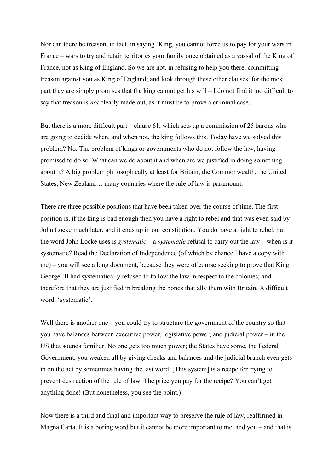Nor can there be treason, in fact, in saying 'King, you cannot force us to pay for your wars in France – wars to try and retain territories your family once obtained as a vassal of the King of France, not as King of England. So we are not, in refusing to help you there, committing treason against you as King of England; and look through these other clauses, for the most part they are simply promises that the king cannot get his will – I do not find it too difficult to say that treason is *not* clearly made out, as it must be to prove a criminal case.

But there is a more difficult part – clause 61, which sets up a commission of 25 barons who are going to decide when, and when not, the king follows this. Today have we solved this problem? No. The problem of kings or governments who do not follow the law, having promised to do so. What can we do about it and when are we justified in doing something about it? A big problem philosophically at least for Britain, the Commonwealth, the United States, New Zealand… many countries where the rule of law is paramount.

There are three possible positions that have been taken over the course of time. The first position is, if the king is bad enough then you have a right to rebel and that was even said by John Locke much later, and it ends up in our constitution. You do have a right to rebel, but the word John Locke uses is *systematic* – a *systematic* refusal to carry out the law – when is it systematic? Read the Declaration of Independence (of which by chance I have a copy with me) – you will see a long document, because they were of course seeking to prove that King George III had systematically refused to follow the law in respect to the colonies; and therefore that they are justified in breaking the bonds that ally them with Britain. A difficult word, 'systematic'.

Well there is another one – you could try to structure the government of the country so that you have balances between executive power, legislative power, and judicial power – in the US that sounds familiar. No one gets too much power; the States have some, the Federal Government, you weaken all by giving checks and balances and the judicial branch even gets in on the act by sometimes having the last word. [This system] is a recipe for trying to prevent destruction of the rule of law. The price you pay for the recipe? You can't get anything done! (But nonetheless, you see the point.)

Now there is a third and final and important way to preserve the rule of law, reaffirmed in Magna Carta. It is a boring word but it cannot be more important to me, and you – and that is